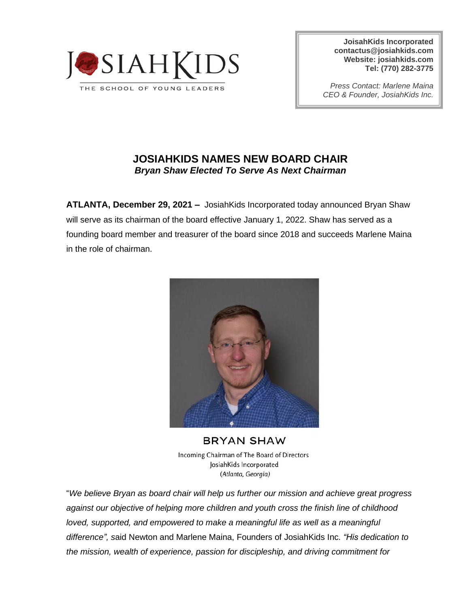

**JoisahKids Incorporated [contactus@josiahkids.com](mailto:contactus@josiahkids.com) Website: josiahkids.com Tel: (770) 282-3775**

*Press Contact: Marlene Maina CEO & Founder, JosiahKids Inc.*

## **JOSIAHKIDS NAMES NEW BOARD CHAIR** *Bryan Shaw Elected To Serve As Next Chairman*

**ATLANTA, December 29, 2021 –** JosiahKids Incorporated today announced Bryan Shaw will serve as its chairman of the board effective January 1, 2022. Shaw has served as a founding board member and treasurer of the board since 2018 and succeeds Marlene Maina in the role of chairman.



**BRYAN SHAW** Incoming Chairman of The Board of Directors JosiahKids Incorporated (Atlanta, Georgia)

"*We believe Bryan as board chair will help us further our mission and achieve great progress against our objective of helping more children and youth cross the finish line of childhood loved, supported, and empowered to make a meaningful life as well as a meaningful difference", s*aid Newton and Marlene Maina, Founders of JosiahKids Inc. *"His dedication to the mission, wealth of experience, passion for discipleship, and driving commitment for*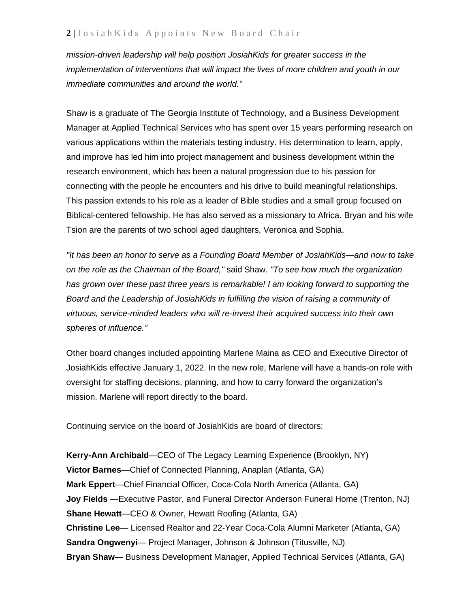*mission-driven leadership will help position JosiahKids for greater success in the implementation of interventions that will impact the lives of more children and youth in our immediate communities and around the world."*

Shaw is a graduate of The Georgia Institute of Technology, and a Business Development Manager at Applied Technical Services who has spent over 15 years performing research on various applications within the materials testing industry. His determination to learn, apply, and improve has led him into project management and business development within the research environment, which has been a natural progression due to his passion for connecting with the people he encounters and his drive to build meaningful relationships. This passion extends to his role as a leader of Bible studies and a small group focused on Biblical-centered fellowship. He has also served as a missionary to Africa. Bryan and his wife Tsion are the parents of two school aged daughters, Veronica and Sophia.

*"It has been an honor to serve as a Founding Board Member of JosiahKids—and now to take on the role as the Chairman of the Board,"* said Shaw. *"To see how much the organization has grown over these past three years is remarkable! I am looking forward to supporting the Board and the Leadership of JosiahKids in fulfilling the vision of raising a community of virtuous, service-minded leaders who will re-invest their acquired success into their own spheres of influence."*

Other board changes included appointing Marlene Maina as CEO and Executive Director of JosiahKids effective January 1, 2022. In the new role, Marlene will have a hands-on role with oversight for staffing decisions, planning, and how to carry forward the organization's mission. Marlene will report directly to the board.

Continuing service on the board of JosiahKids are board of directors:

**Kerry-Ann Archibald**—CEO of The Legacy Learning Experience (Brooklyn, NY) **Victor Barnes**—Chief of Connected Planning, Anaplan (Atlanta, GA) **Mark Eppert**—Chief Financial Officer, Coca-Cola North America (Atlanta, GA) **Joy Fields** —Executive Pastor, and Funeral Director Anderson Funeral Home (Trenton, NJ) **Shane Hewatt**—CEO & Owner, Hewatt Roofing (Atlanta, GA) **Christine Lee**— Licensed Realtor and 22-Year Coca-Cola Alumni Marketer (Atlanta, GA) **Sandra Ongwenyi**— Project Manager, Johnson & Johnson (Titusville, NJ) **Bryan Shaw**— Business Development Manager, Applied Technical Services (Atlanta, GA)